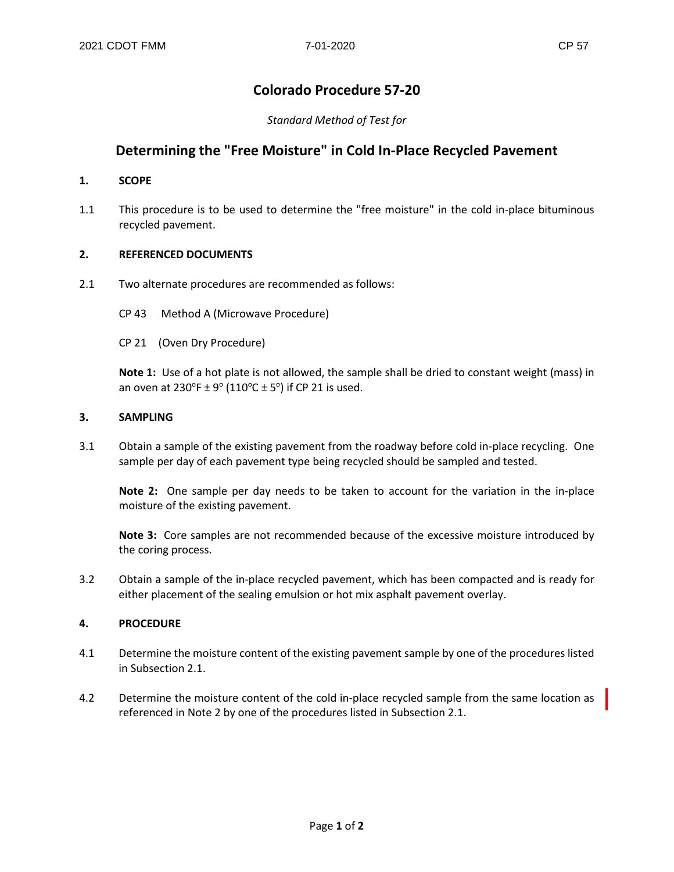# **Colorado Procedure 57-20**

*Standard Method of Test for*

# **Determining the "Free Moisture" in Cold In-Place Recycled Pavement**

### **1. SCOPE**

1.1 This procedure is to be used to determine the "free moisture" in the cold in-place bituminous recycled pavement.

## **2. REFERENCED DOCUMENTS**

- 2.1 Two alternate procedures are recommended as follows:
	- CP 43 Method A (Microwave Procedure)
	- CP 21 (Oven Dry Procedure)

**Note 1:** Use of a hot plate is not allowed, the sample shall be dried to constant weight (mass) in an oven at 230°F  $\pm$  9° (110°C  $\pm$  5°) if CP 21 is used.

### **3. SAMPLING**

3.1 Obtain a sample of the existing pavement from the roadway before cold in-place recycling. One sample per day of each pavement type being recycled should be sampled and tested.

**Note 2:** One sample per day needs to be taken to account for the variation in the in-place moisture of the existing pavement.

**Note 3:** Core samples are not recommended because of the excessive moisture introduced by the coring process.

3.2 Obtain a sample of the in-place recycled pavement, which has been compacted and is ready for either placement of the sealing emulsion or hot mix asphalt pavement overlay.

### **4. PROCEDURE**

- 4.1 Determine the moisture content of the existing pavement sample by one of the procedures listed in Subsection 2.1.
- 4.2 Determine the moisture content of the cold in-place recycled sample from the same location as referenced in Note 2 by one of the procedures listed in Subsection 2.1.